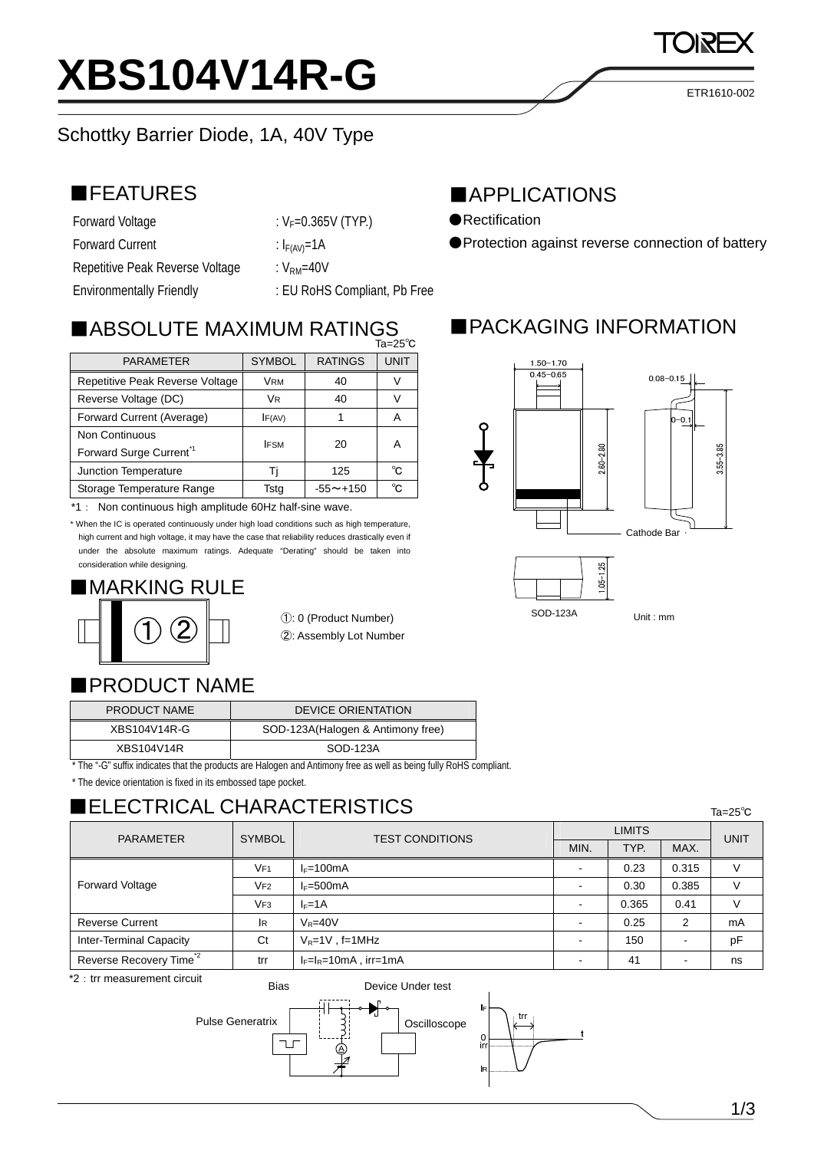# **XBS104V14R-G**

# Schottky Barrier Diode, 1A, 40V Type

# ■FEATURES

- Forward Voltage  $V_F=0.365V$  (TYP.) Forward Current :  $I_{F(AV)}=1A$ Repetitive Peak Reverse Voltage : V<sub>RM</sub>=40V
	-
	-
	-
- Environmentally Friendly **EXALC 19 COMPLEM** : EU RoHS Compliant, Pb Free

# $\blacksquare$ ABSOLUTE MAXIMUM RATINGS

| ∪ ن∠=ai                            |               |                 |             |  |  |
|------------------------------------|---------------|-----------------|-------------|--|--|
| <b>PARAMETER</b>                   | <b>SYMBOL</b> | <b>RATINGS</b>  | <b>UNIT</b> |  |  |
| Repetitive Peak Reverse Voltage    | <b>VRM</b>    | 40              |             |  |  |
| Reverse Voltage (DC)               | VR            | 40              |             |  |  |
| Forward Current (Average)          | IF(AV)        |                 | А           |  |  |
| <b>Non Continuous</b>              |               | 20              |             |  |  |
| Forward Surge Current <sup>1</sup> | <b>IFSM</b>   |                 | Α           |  |  |
| <b>Junction Temperature</b>        |               | 125             | °C          |  |  |
| Storage Temperature Range          | Tstg          | $-55 \sim +150$ | °C          |  |  |

\*1: Non continuous high amplitude 60Hz half-sine wave.

\* When the IC is operated continuously under high load conditions such as high temperature, high current and high voltage, it may have the case that reliability reduces drastically even if under the absolute maximum ratings. Adequate "Derating" should be taken into consideration while designing.

# ■MARKING RULE

①: 0 (Product Number) ②: Assembly Lot Number

#### ■PRODUCT NAME

| <b>PRODUCT NAME</b> | <b>DEVICE ORIENTATION</b>          |
|---------------------|------------------------------------|
| XBS104V14R-G        | SOD-123A (Halogen & Antimony free) |
| XBS104V14R          | SOD-123A                           |

\* The "-G" suffix indicates that the products are Halogen and Antimony free as well as being fully RoHS compliant.

\* The device orientation is fixed in its embossed tape pocket.

# ■ELECTRICAL CHARACTERISTICS

| <b>SYMBOL</b><br><b>PARAMETER</b>   |                 | <b>TEST CONDITIONS</b>   | <b>LIMITS</b> |       |       | <b>UNIT</b> |
|-------------------------------------|-----------------|--------------------------|---------------|-------|-------|-------------|
|                                     |                 |                          | MIN.          | TYP.  | MAX.  |             |
| <b>Forward Voltage</b>              | VF1             | $I_F = 100mA$            | -             | 0.23  | 0.315 |             |
|                                     | VF2             | $I_F = 500mA$            | -             | 0.30  | 0.385 |             |
|                                     | VF <sub>3</sub> | $I_F=1A$                 |               | 0.365 | 0.41  | V           |
| <b>Reverse Current</b>              | <b>IR</b>       | $V_R = 40V$              |               | 0.25  | 2     | mA          |
| <b>Inter-Terminal Capacity</b>      | Ct              | $V_R = 1V$ , f=1MHz      | -             | 150   |       | pF          |
| Reverse Recovery Time <sup>*2</sup> | trr             | $I_F=I_R=10mA$ , irr=1mA |               | 41    |       | ns          |
| *2 : trr measurement circuit        |                 |                          |               |       |       |             |



## ■APPLICATIONS

- ●Rectification
- ●Protection against reverse connection of battery

# ■PACKAGING INFORMATION



ETR1610-002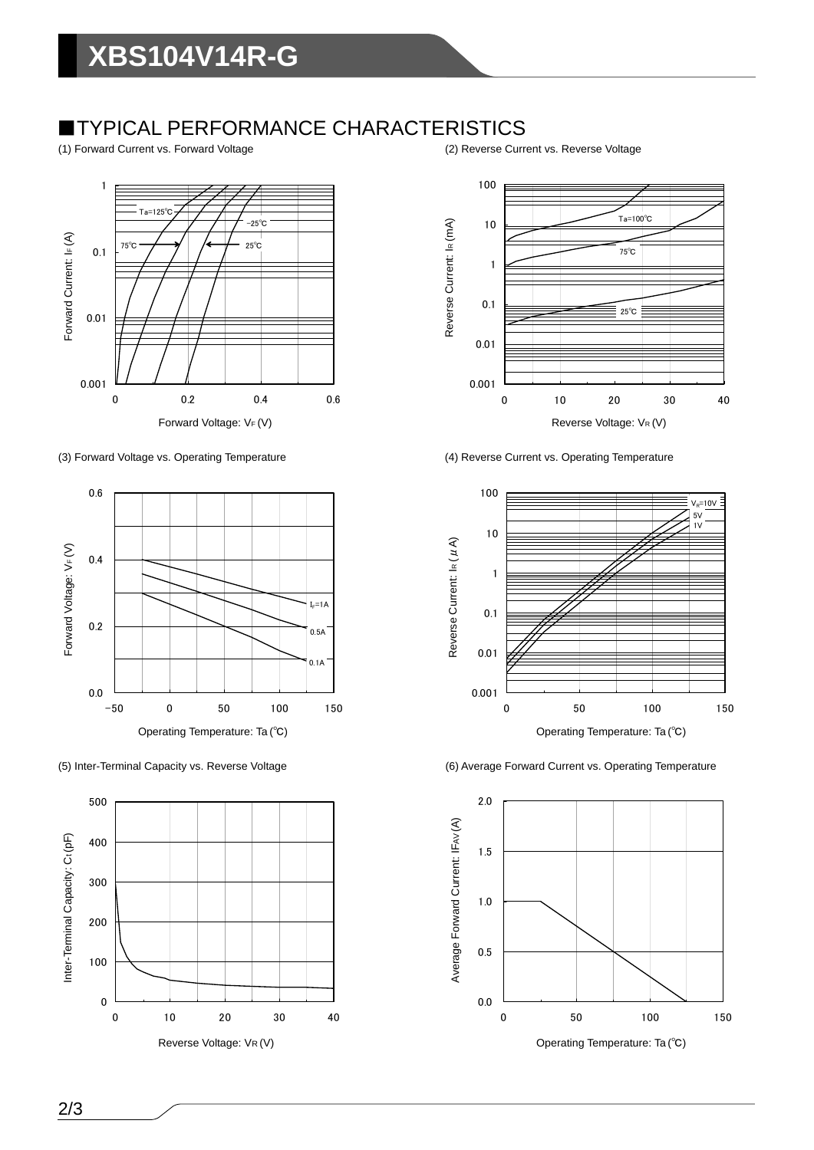### ■TYPICAL PERFORMANCE CHARACTERISTICS

(1) Forward Current vs. Forward Voltage (2) Reverse Current vs. Reverse Voltage









(3) Forward Voltage vs. Operating Temperature (4) Reverse Current vs. Operating Temperature



(5) Inter-Terminal Capacity vs. Reverse Voltage (6) Average Forward Current vs. Operating Temperature